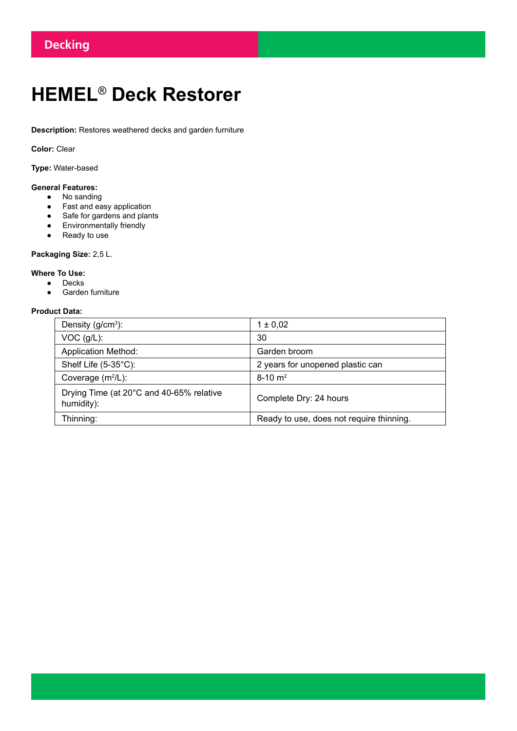# **HEMEL**® **Deck Restorer**

**Description:** Restores weathered decks and garden furniture

**Color:** Clear

**Type:** Water-based

## **General Features:**

- No sanding
- Fast and easy application
- Safe for gardens and plants
- Environmentally friendly
- Ready to use

## **Packaging Size:** 2,5 L.

## **Where To Use:**

- Decks
- Garden furniture

### **Product Data:**

| Density $(g/cm3)$ :                                    | $1 \pm 0.02$                             |
|--------------------------------------------------------|------------------------------------------|
| $VOC$ (g/L):                                           | 30                                       |
| <b>Application Method:</b>                             | Garden broom                             |
| Shelf Life (5-35°C):                                   | 2 years for unopened plastic can         |
| Coverage $(m^2/L)$ :                                   | $8-10$ m <sup>2</sup>                    |
| Drying Time (at 20°C and 40-65% relative<br>humidity): | Complete Dry: 24 hours                   |
| Thinning:                                              | Ready to use, does not require thinning. |